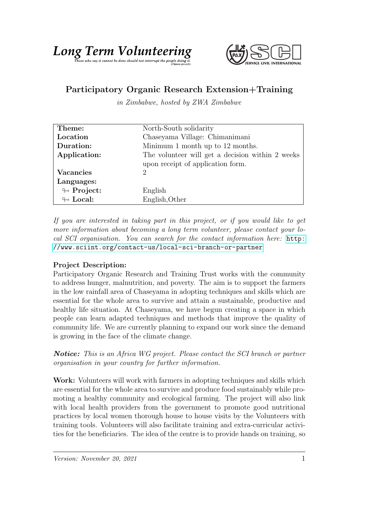## Long Term Volumbe depring



## Participatory Organic Research Extension+Training

in Zimbabwe, hosted by ZWA Zimbabwe

| Theme:                     | North-South solidarity                           |
|----------------------------|--------------------------------------------------|
| Location                   | Chaseyama Village: Chimanimani                   |
| Duration:                  | Minimum 1 month up to 12 months.                 |
| Application:               | The volunteer will get a decision within 2 weeks |
|                            | upon receipt of application form.                |
| <b>Vacancies</b>           | $\mathcal{D}_{\mathcal{L}}$                      |
| Languages:                 |                                                  |
| $\looparrowright$ Project: | English                                          |
| $\leftrightarrow$ Local:   | English, Other                                   |

If you are interested in taking part in this project, or if you would like to get more information about becoming a long term volunteer, please contact your local SCI organisation. You can search for the contact information here: [http:](http://www.sciint.org/contact-us/local-sci-branch-or-partner) [//www.sciint.org/contact-us/local-sci-branch-or-partner](http://www.sciint.org/contact-us/local-sci-branch-or-partner)

## Project Description:

Participatory Organic Research and Training Trust works with the community to address hunger, malnutrition, and poverty. The aim is to support the farmers in the low rainfall area of Chaseyama in adopting techniques and skills which are essential for the whole area to survive and attain a sustainable, productive and healthy life situation. At Chaseyama, we have begun creating a space in which people can learn adapted techniques and methods that improve the quality of community life. We are currently planning to expand our work since the demand is growing in the face of the climate change.

Notice: This is an Africa WG project. Please contact the SCI branch or partner organisation in your country for further information.

Work: Volunteers will work with farmers in adopting techniques and skills which are essential for the whole area to survive and produce food sustainably while promoting a healthy community and ecological farming. The project will also link with local health providers from the government to promote good nutritional practices by local women thorough house to house visits by the Volunteers with training tools. Volunteers will also facilitate training and extra-curricular activities for the beneficiaries. The idea of the centre is to provide hands on training, so